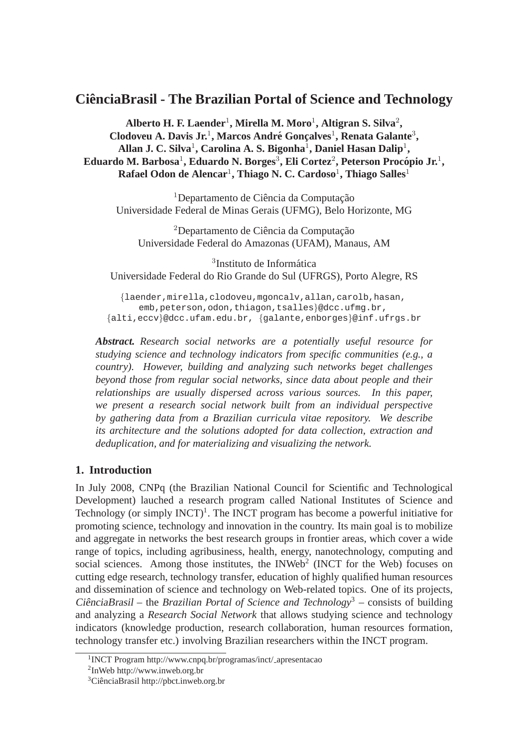# **CienciaBrasil - The Brazilian Portal of Science and Technology ˆ**

 $\boldsymbol{\mathrm{Alberto}}$  **H. F. Laender<sup>1</sup>, Mirella M. Moro<sup>1</sup>, Altigran S. Silva<sup>2</sup>,** Clodoveu A. Davis Jr.<sup>1</sup>, Marcos André Gonçalves<sup>1</sup>, Renata Galante<sup>3</sup>, Allan J. C. Silva<sup>1</sup>, Carolina A. S. Bigonha<sup>1</sup>, Daniel Hasan Dalip<sup>1</sup>, **Eduardo M. Barbosa**<sup>1</sup> **, Eduardo N. Borges**<sup>3</sup> **, Eli Cortez**<sup>2</sup> **, Peterson Procopio Jr. ´** 1 **,**  $\mathbf{R}$ afael Odon de Alencar<sup>1</sup>, Thiago N. C. Cardoso<sup>1</sup>, Thiago Salles<sup>1</sup>

 $1$ Departamento de Ciência da Computação Universidade Federal de Minas Gerais (UFMG), Belo Horizonte, MG

<sup>2</sup>Departamento de Ciência da Computação Universidade Federal do Amazonas (UFAM), Manaus, AM

<sup>3</sup>Instituto de Informática Universidade Federal do Rio Grande do Sul (UFRGS), Porto Alegre, RS

{laender,mirella,clodoveu,mgoncalv,allan,carolb,hasan, emb, peterson, odon, thiagon, tsalles}@dcc.ufmg.br, {alti,eccv}@dcc.ufam.edu.br, {galante,enborges}@inf.ufrgs.br

*Abstract. Research social networks are a potentially useful resource for studying science and technology indicators from specific communities (e.g., a country). However, building and analyzing such networks beget challenges beyond those from regular social networks, since data about people and their relationships are usually dispersed across various sources. In this paper, we present a research social network built from an individual perspective by gathering data from a Brazilian curricula vitae repository. We describe its architecture and the solutions adopted for data collection, extraction and deduplication, and for materializing and visualizing the network.*

## **1. Introduction**

In July 2008, CNPq (the Brazilian National Council for Scientific and Technological Development) lauched a research program called National Institutes of Science and Technology (or simply  $INCT$ )<sup>1</sup>. The INCT program has become a powerful initiative for promoting science, technology and innovation in the country. Its main goal is to mobilize and aggregate in networks the best research groups in frontier areas, which cover a wide range of topics, including agribusiness, health, energy, nanotechnology, computing and social sciences. Among those institutes, the INWeb<sup>2</sup> (INCT for the Web) focuses on cutting edge research, technology transfer, education of highly qualified human resources and dissemination of science and technology on Web-related topics. One of its projects, CiênciaBrasil – the *Brazilian Portal of Science and Technology*<sup>3</sup> – consists of building and analyzing a *Research Social Network* that allows studying science and technology indicators (knowledge production, research collaboration, human resources formation, technology transfer etc.) involving Brazilian researchers within the INCT program.

<sup>1</sup> INCT Program http://www.cnpq.br/programas/inct/ apresentacao

<sup>2</sup> InWeb http://www.inweb.org.br

 ${}^{3}$ CiênciaBrasil http://pbct.inweb.org.br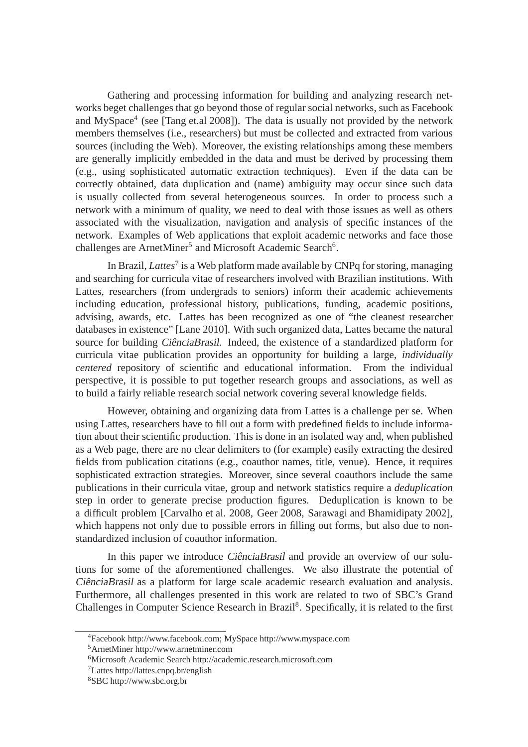Gathering and processing information for building and analyzing research networks beget challenges that go beyond those of regular social networks, such as Facebook and MySpace<sup>4</sup> (see [Tang et.al 2008]). The data is usually not provided by the network members themselves (i.e., researchers) but must be collected and extracted from various sources (including the Web). Moreover, the existing relationships among these members are generally implicitly embedded in the data and must be derived by processing them (e.g., using sophisticated automatic extraction techniques). Even if the data can be correctly obtained, data duplication and (name) ambiguity may occur since such data is usually collected from several heterogeneous sources. In order to process such a network with a minimum of quality, we need to deal with those issues as well as others associated with the visualization, navigation and analysis of specific instances of the network. Examples of Web applications that exploit academic networks and face those challenges are ArnetMiner<sup>5</sup> and Microsoft Academic Search<sup>6</sup>.

In Brazil, *Lattes*<sup>7</sup> is a Web platform made available by CNPq for storing, managing and searching for curricula vitae of researchers involved with Brazilian institutions. With Lattes, researchers (from undergrads to seniors) inform their academic achievements including education, professional history, publications, funding, academic positions, advising, awards, etc. Lattes has been recognized as one of "the cleanest researcher databases in existence" [Lane 2010]. With such organized data, Lattes became the natural source for building CiênciaBrasil. Indeed, the existence of a standardized platform for curricula vitae publication provides an opportunity for building a large, *individually centered* repository of scientific and educational information. From the individual perspective, it is possible to put together research groups and associations, as well as to build a fairly reliable research social network covering several knowledge fields.

However, obtaining and organizing data from Lattes is a challenge per se. When using Lattes, researchers have to fill out a form with predefined fields to include information about their scientific production. This is done in an isolated way and, when published as a Web page, there are no clear delimiters to (for example) easily extracting the desired fields from publication citations (e.g., coauthor names, title, venue). Hence, it requires sophisticated extraction strategies. Moreover, since several coauthors include the same publications in their curricula vitae, group and network statistics require a *deduplication* step in order to generate precise production figures. Deduplication is known to be a difficult problem [Carvalho et al. 2008, Geer 2008, Sarawagi and Bhamidipaty 2002], which happens not only due to possible errors in filling out forms, but also due to nonstandardized inclusion of coauthor information.

In this paper we introduce CiênciaBrasil and provide an overview of our solutions for some of the aforementioned challenges. We also illustrate the potential of CiênciaBrasil as a platform for large scale academic research evaluation and analysis. Furthermore, all challenges presented in this work are related to two of SBC's Grand Challenges in Computer Science Research in Brazil<sup>8</sup>. Specifically, it is related to the first

<sup>5</sup>ArnetMiner http://www.arnetminer.com

<sup>4</sup>Facebook http://www.facebook.com; MySpace http://www.myspace.com

<sup>6</sup>Microsoft Academic Search http://academic.research.microsoft.com

<sup>7</sup>Lattes http://lattes.cnpq.br/english

<sup>8</sup>SBC http://www.sbc.org.br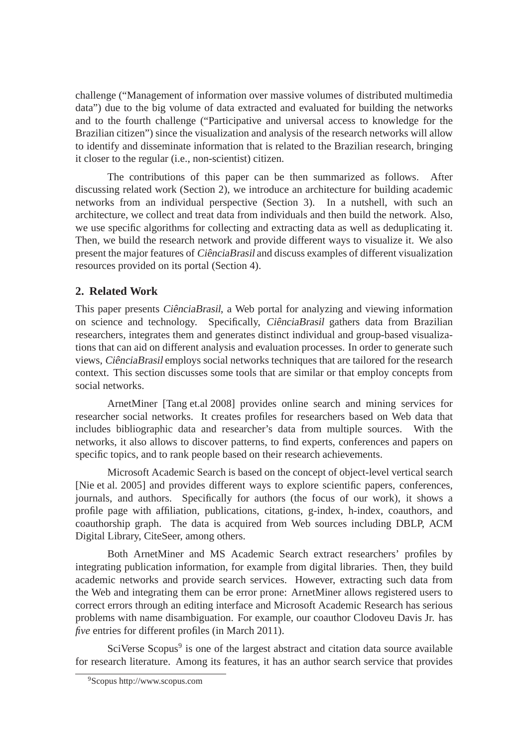challenge ("Management of information over massive volumes of distributed multimedia data") due to the big volume of data extracted and evaluated for building the networks and to the fourth challenge ("Participative and universal access to knowledge for the Brazilian citizen") since the visualization and analysis of the research networks will allow to identify and disseminate information that is related to the Brazilian research, bringing it closer to the regular (i.e., non-scientist) citizen.

The contributions of this paper can be then summarized as follows. After discussing related work (Section 2), we introduce an architecture for building academic networks from an individual perspective (Section 3). In a nutshell, with such an architecture, we collect and treat data from individuals and then build the network. Also, we use specific algorithms for collecting and extracting data as well as deduplicating it. Then, we build the research network and provide different ways to visualize it. We also present the major features of CiênciaBrasil and discuss examples of different visualization resources provided on its portal (Section 4).

## **2. Related Work**

This paper presents *CiênciaBrasil*, a Web portal for analyzing and viewing information on science and technology. Specifically, CiênciaBrasil gathers data from Brazilian researchers, integrates them and generates distinct individual and group-based visualizations that can aid on different analysis and evaluation processes. In order to generate such views, CiênciaBrasil employs social networks techniques that are tailored for the research context. This section discusses some tools that are similar or that employ concepts from social networks.

ArnetMiner [Tang et.al 2008] provides online search and mining services for researcher social networks. It creates profiles for researchers based on Web data that includes bibliographic data and researcher's data from multiple sources. With the networks, it also allows to discover patterns, to find experts, conferences and papers on specific topics, and to rank people based on their research achievements.

Microsoft Academic Search is based on the concept of object-level vertical search [Nie et al. 2005] and provides different ways to explore scientific papers, conferences, journals, and authors. Specifically for authors (the focus of our work), it shows a profile page with affiliation, publications, citations, g-index, h-index, coauthors, and coauthorship graph. The data is acquired from Web sources including DBLP, ACM Digital Library, CiteSeer, among others.

Both ArnetMiner and MS Academic Search extract researchers' profiles by integrating publication information, for example from digital libraries. Then, they build academic networks and provide search services. However, extracting such data from the Web and integrating them can be error prone: ArnetMiner allows registered users to correct errors through an editing interface and Microsoft Academic Research has serious problems with name disambiguation. For example, our coauthor Clodoveu Davis Jr. has *five* entries for different profiles (in March 2011).

SciVerse Scopus<sup>9</sup> is one of the largest abstract and citation data source available for research literature. Among its features, it has an author search service that provides

<sup>9</sup>Scopus http://www.scopus.com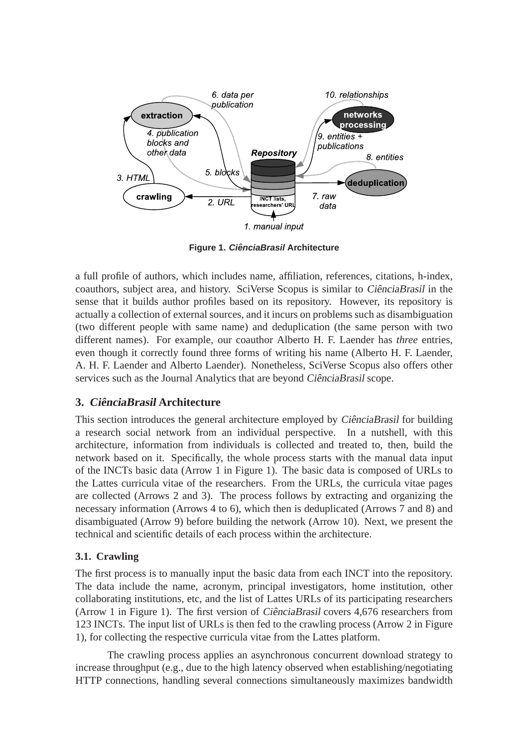

**Figure 1. CienciaBrasil ˆ Architecture**

a full profile of authors, which includes name, affiliation, references, citations, h-index, coauthors, subject area, and history. SciVerse Scopus is similar to CiênciaBrasil in the sense that it builds author profiles based on its repository. However, its repository is actually a collection of external sources, and it incurs on problems such as disambiguation (two different people with same name) and deduplication (the same person with two different names). For example, our coauthor Alberto H. F. Laender has *three* entries, even though it correctly found three forms of writing his name (Alberto H. F. Laender, A. H. F. Laender and Alberto Laender). Nonetheless, SciVerse Scopus also offers other services such as the Journal Analytics that are beyond CiênciaBrasil scope.

## **3. CienciaBrasil <sup>ˆ</sup> Architecture**

This section introduces the general architecture employed by CiênciaBrasil for building a research social network from an individual perspective. In a nutshell, with this architecture, information from individuals is collected and treated to, then, build the network based on it. Specifically, the whole process starts with the manual data input of the INCTs basic data (Arrow 1 in Figure 1). The basic data is composed of URLs to the Lattes curricula vitae of the researchers. From the URLs, the curricula vitae pages are collected (Arrows 2 and 3). The process follows by extracting and organizing the necessary information (Arrows 4 to 6), which then is deduplicated (Arrows 7 and 8) and disambiguated (Arrow 9) before building the network (Arrow 10). Next, we present the technical and scientific details of each process within the architecture.

#### **3.1. Crawling**

The first process is to manually input the basic data from each INCT into the repository. The data include the name, acronym, principal investigators, home institution, other collaborating institutions, etc, and the list of Lattes URLs of its participating researchers (Arrow 1 in Figure 1). The first version of CiênciaBrasil covers  $4,676$  researchers from 123 INCTs. The input list of URLs is then fed to the crawling process (Arrow 2 in Figure 1), for collecting the respective curricula vitae from the Lattes platform.

The crawling process applies an asynchronous concurrent download strategy to increase throughput (e.g., due to the high latency observed when establishing/negotiating HTTP connections, handling several connections simultaneously maximizes bandwidth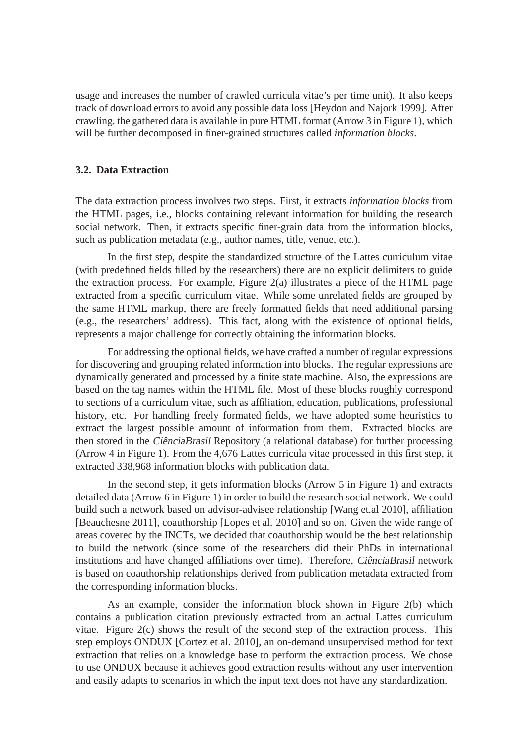usage and increases the number of crawled curricula vitae's per time unit). It also keeps track of download errors to avoid any possible data loss [Heydon and Najork 1999]. After crawling, the gathered data is available in pure HTML format (Arrow 3 in Figure 1), which will be further decomposed in finer-grained structures called *information blocks*.

### **3.2. Data Extraction**

The data extraction process involves two steps. First, it extracts *information blocks* from the HTML pages, i.e., blocks containing relevant information for building the research social network. Then, it extracts specific finer-grain data from the information blocks, such as publication metadata (e.g., author names, title, venue, etc.).

In the first step, despite the standardized structure of the Lattes curriculum vitae (with predefined fields filled by the researchers) there are no explicit delimiters to guide the extraction process. For example, Figure  $2(a)$  illustrates a piece of the HTML page extracted from a specific curriculum vitae. While some unrelated fields are grouped by the same HTML markup, there are freely formatted fields that need additional parsing (e.g., the researchers' address). This fact, along with the existence of optional fields, represents a major challenge for correctly obtaining the information blocks.

For addressing the optional fields, we have crafted a number of regular expressions for discovering and grouping related information into blocks. The regular expressions are dynamically generated and processed by a finite state machine. Also, the expressions are based on the tag names within the HTML file. Most of these blocks roughly correspond to sections of a curriculum vitae, such as affiliation, education, publications, professional history, etc. For handling freely formated fields, we have adopted some heuristics to extract the largest possible amount of information from them. Extracted blocks are then stored in the CiênciaBrasil Repository (a relational database) for further processing (Arrow 4 in Figure 1). From the 4,676 Lattes curricula vitae processed in this first step, it extracted 338,968 information blocks with publication data.

In the second step, it gets information blocks (Arrow 5 in Figure 1) and extracts detailed data (Arrow 6 in Figure 1) in order to build the research social network. We could build such a network based on advisor-advisee relationship [Wang et.al 2010], affiliation [Beauchesne 2011], coauthorship [Lopes et al. 2010] and so on. Given the wide range of areas covered by the INCTs, we decided that coauthorship would be the best relationship to build the network (since some of the researchers did their PhDs in international institutions and have changed affiliations over time). Therefore, *CiênciaBrasil* network is based on coauthorship relationships derived from publication metadata extracted from the corresponding information blocks.

As an example, consider the information block shown in Figure 2(b) which contains a publication citation previously extracted from an actual Lattes curriculum vitae. Figure 2(c) shows the result of the second step of the extraction process. This step employs ONDUX [Cortez et al. 2010], an on-demand unsupervised method for text extraction that relies on a knowledge base to perform the extraction process. We chose to use ONDUX because it achieves good extraction results without any user intervention and easily adapts to scenarios in which the input text does not have any standardization.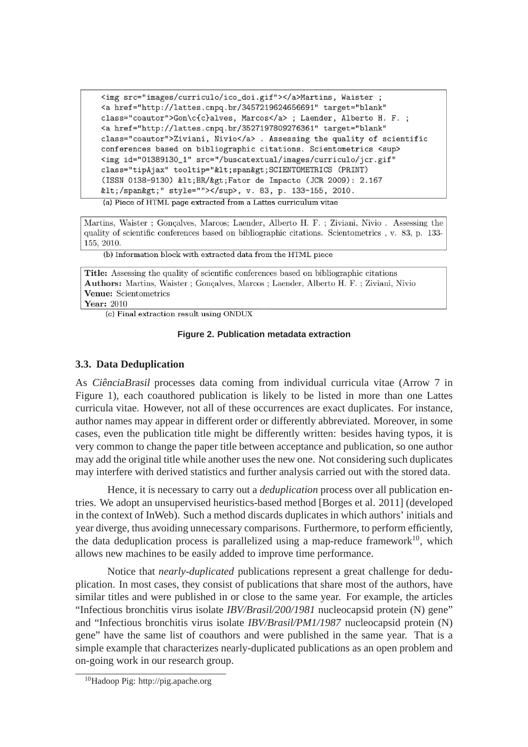```
<img src="images/curriculo/ico_doi.gif"></a>Martins, Waister ;
<a href="http://lattes.cnpq.br/3457219624656691" target="blank"
class="coautor">Gon\c{c}alves, Marcos</a>; Laender, Alberto H. F.;
<a href="http://lattes.cnpq.br/3527197809276361" target="blank"
class="coautor">Ziviani, Nivio</a>. Assessing the quality of scientific
conferences based on bibliographic citations. Scientometrics <sup>
<img id="01389130_1" src="/buscatextual/images/curriculo/jcr.gif"
class="tipAjax" tooltip="<span&gt;SCIENTOMETRICS (PRINT)
(ISSN 0138-9130) < BR/&gt; Fator de Impacto (JCR 2009): 2.167
</span&gt;" style=""></sup>, v. 83, p. 133-155, 2010.
```
(a) Piece of HTML page extracted from a Lattes curriculum vitae

Martins, Waister; Gonçalves, Marcos; Laender, Alberto H. F.; Ziviani, Nivio. Assessing the quality of scientific conferences based on bibliographic citations. Scientometrics, v. 83, p. 133-155, 2010.

(b) Information block with extracted data from the HTML piece

Title: Assessing the quality of scientific conferences based on bibliographic citations Authors: Martins, Waister; Gonçalves, Marcos; Laender, Alberto H. F.; Ziviani, Nivio Venue: Scientometrics **Year: 2010** 

(c) Final extraction result using ONDUX

#### **Figure 2. Publication metadata extraction**

#### **3.3. Data Deduplication**

As CiênciaBrasil processes data coming from individual curricula vitae (Arrow 7 in Figure 1), each coauthored publication is likely to be listed in more than one Lattes curricula vitae. However, not all of these occurrences are exact duplicates. For instance, author names may appear in different order or differently abbreviated. Moreover, in some cases, even the publication title might be differently written: besides having typos, it is very common to change the paper title between acceptance and publication, so one author may add the original title while another uses the new one. Not considering such duplicates may interfere with derived statistics and further analysis carried out with the stored data.

Hence, it is necessary to carry out a *deduplication* process over all publication entries. We adopt an unsupervised heuristics-based method [Borges et al. 2011] (developed in the context of InWeb). Such a method discards duplicates in which authors' initials and year diverge, thus avoiding unnecessary comparisons. Furthermore, to perform efficiently, the data deduplication process is parallelized using a map-reduce framework<sup>10</sup>, which allows new machines to be easily added to improve time performance.

Notice that *nearly-duplicated* publications represent a great challenge for deduplication. In most cases, they consist of publications that share most of the authors, have similar titles and were published in or close to the same year. For example, the articles "Infectious bronchitis virus isolate *IBV/Brasil/200/1981* nucleocapsid protein (N) gene" and "Infectious bronchitis virus isolate *IBV/Brasil/PM1/1987* nucleocapsid protein (N) gene" have the same list of coauthors and were published in the same year. That is a simple example that characterizes nearly-duplicated publications as an open problem and on-going work in our research group.

<sup>10</sup>Hadoop Pig: http://pig.apache.org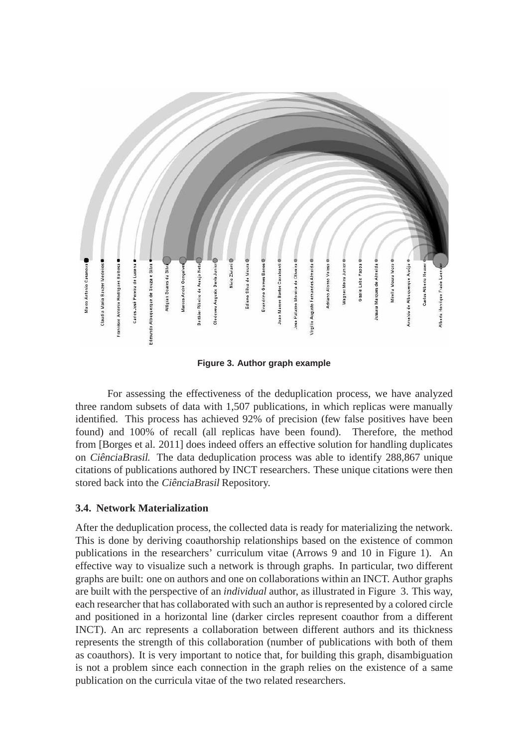

**Figure 3. Author graph example**

For assessing the effectiveness of the deduplication process, we have analyzed three random subsets of data with 1,507 publications, in which replicas were manually identified. This process has achieved 92% of precision (few false positives have been found) and 100% of recall (all replicas have been found). Therefore, the method from [Borges et al. 2011] does indeed offers an effective solution for handling duplicates on *CiênciaBrasil*. The data deduplication process was able to identify 288,867 unique citations of publications authored by INCT researchers. These unique citations were then stored back into the CiênciaBrasil Repository.

#### **3.4. Network Materialization**

After the deduplication process, the collected data is ready for materializing the network. This is done by deriving coauthorship relationships based on the existence of common publications in the researchers' curriculum vitae (Arrows 9 and 10 in Figure 1). An effective way to visualize such a network is through graphs. In particular, two different graphs are built: one on authors and one on collaborations within an INCT. Author graphs are built with the perspective of an *individual* author, as illustrated in Figure 3. This way, each researcher that has collaborated with such an author is represented by a colored circle and positioned in a horizontal line (darker circles represent coauthor from a different INCT). An arc represents a collaboration between different authors and its thickness represents the strength of this collaboration (number of publications with both of them as coauthors). It is very important to notice that, for building this graph, disambiguation is not a problem since each connection in the graph relies on the existence of a same publication on the curricula vitae of the two related researchers.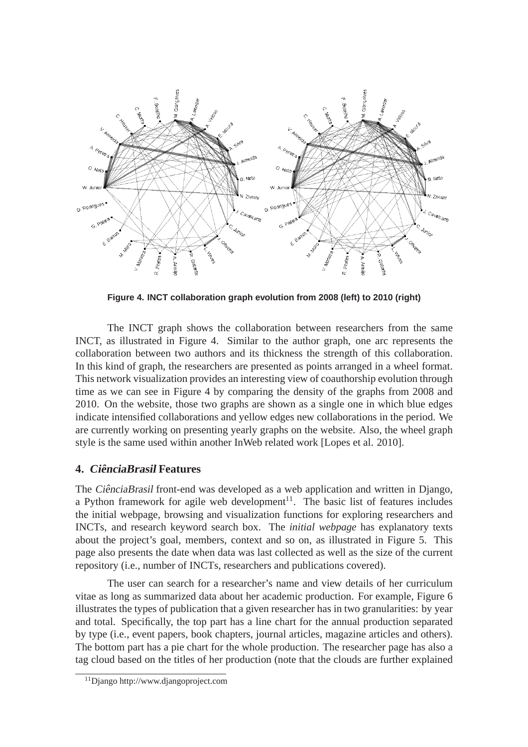

**Figure 4. INCT collaboration graph evolution from 2008 (left) to 2010 (right)**

The INCT graph shows the collaboration between researchers from the same INCT, as illustrated in Figure 4. Similar to the author graph, one arc represents the collaboration between two authors and its thickness the strength of this collaboration. In this kind of graph, the researchers are presented as points arranged in a wheel format. This network visualization provides an interesting view of coauthorship evolution through time as we can see in Figure 4 by comparing the density of the graphs from 2008 and 2010. On the website, those two graphs are shown as a single one in which blue edges indicate intensified collaborations and yellow edges new collaborations in the period. We are currently working on presenting yearly graphs on the website. Also, the wheel graph style is the same used within another InWeb related work [Lopes et al. 2010].

## **4. CienciaBrasil <sup>ˆ</sup> Features**

The CiênciaBrasil front-end was developed as a web application and written in Django, a Python framework for agile web development<sup>11</sup>. The basic list of features includes the initial webpage, browsing and visualization functions for exploring researchers and INCTs, and research keyword search box. The *initial webpage* has explanatory texts about the project's goal, members, context and so on, as illustrated in Figure 5. This page also presents the date when data was last collected as well as the size of the current repository (i.e., number of INCTs, researchers and publications covered).

The user can search for a researcher's name and view details of her curriculum vitae as long as summarized data about her academic production. For example, Figure 6 illustrates the types of publication that a given researcher has in two granularities: by year and total. Specifically, the top part has a line chart for the annual production separated by type (i.e., event papers, book chapters, journal articles, magazine articles and others). The bottom part has a pie chart for the whole production. The researcher page has also a tag cloud based on the titles of her production (note that the clouds are further explained

<sup>11</sup>Django http://www.djangoproject.com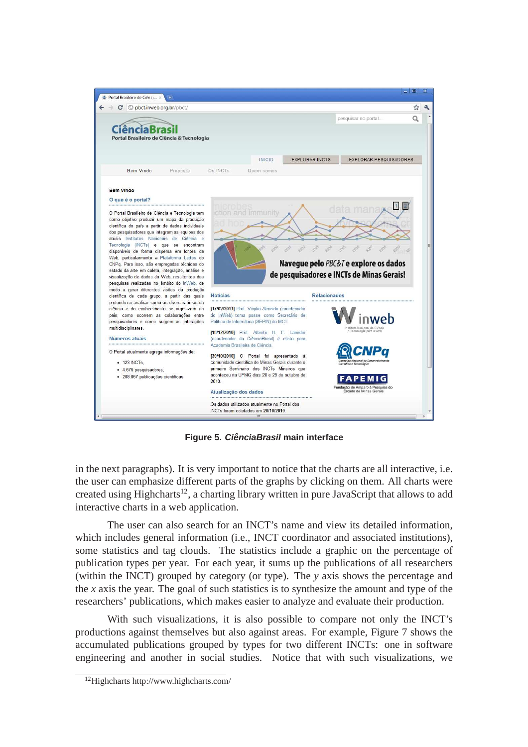

**Figure 5. CienciaBrasil ˆ main interface**

in the next paragraphs). It is very important to notice that the charts are all interactive, i.e. the user can emphasize different parts of the graphs by clicking on them. All charts were created using Highcharts<sup>12</sup>, a charting library written in pure JavaScript that allows to add interactive charts in a web application.

The user can also search for an INCT's name and view its detailed information, which includes general information (i.e., INCT coordinator and associated institutions), some statistics and tag clouds. The statistics include a graphic on the percentage of publication types per year. For each year, it sums up the publications of all researchers (within the INCT) grouped by category (or type). The *y* axis shows the percentage and the *x* axis the year. The goal of such statistics is to synthesize the amount and type of the researchers' publications, which makes easier to analyze and evaluate their production.

With such visualizations, it is also possible to compare not only the INCT's productions against themselves but also against areas. For example, Figure 7 shows the accumulated publications grouped by types for two different INCTs: one in software engineering and another in social studies. Notice that with such visualizations, we

<sup>12</sup>Highcharts http://www.highcharts.com/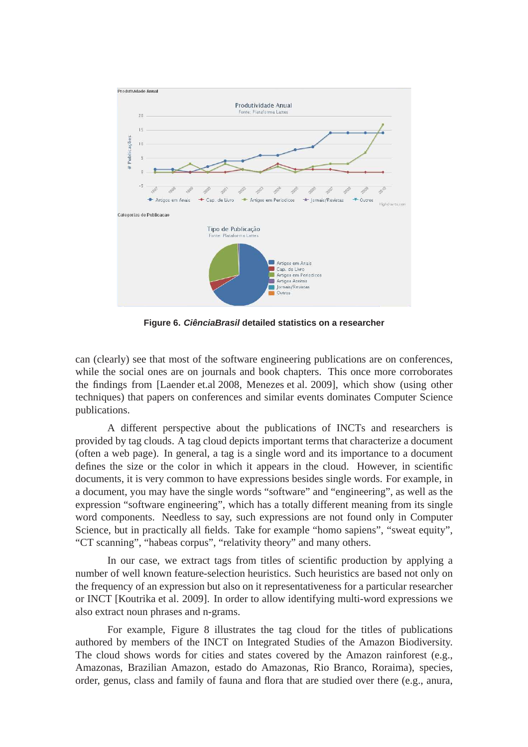

**Figure 6. CienciaBrasil ˆ detailed statistics on a researcher**

can (clearly) see that most of the software engineering publications are on conferences, while the social ones are on journals and book chapters. This once more corroborates the findings from [Laender et.al 2008, Menezes et al. 2009], which show (using other techniques) that papers on conferences and similar events dominates Computer Science publications.

A different perspective about the publications of INCTs and researchers is provided by tag clouds. A tag cloud depicts important terms that characterize a document (often a web page). In general, a tag is a single word and its importance to a document defines the size or the color in which it appears in the cloud. However, in scientific documents, it is very common to have expressions besides single words. For example, in a document, you may have the single words "software" and "engineering", as well as the expression "software engineering", which has a totally different meaning from its single word components. Needless to say, such expressions are not found only in Computer Science, but in practically all fields. Take for example "homo sapiens", "sweat equity", "CT scanning", "habeas corpus", "relativity theory" and many others.

In our case, we extract tags from titles of scientific production by applying a number of well known feature-selection heuristics. Such heuristics are based not only on the frequency of an expression but also on it representativeness for a particular researcher or INCT [Koutrika et al. 2009]. In order to allow identifying multi-word expressions we also extract noun phrases and n-grams.

For example, Figure 8 illustrates the tag cloud for the titles of publications authored by members of the INCT on Integrated Studies of the Amazon Biodiversity. The cloud shows words for cities and states covered by the Amazon rainforest (e.g., Amazonas, Brazilian Amazon, estado do Amazonas, Rio Branco, Roraima), species, order, genus, class and family of fauna and flora that are studied over there (e.g., anura,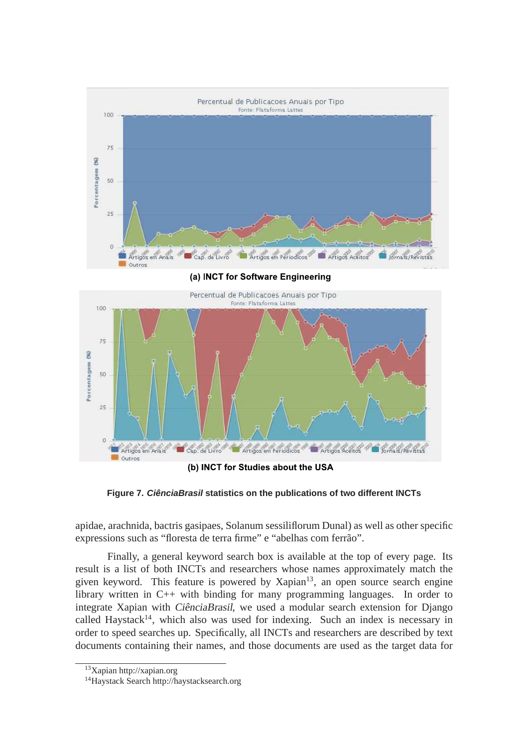

(a) INCT for Software Engineering



(b) INCT for Studies about the USA

**Figure 7. CienciaBrasil ˆ statistics on the publications of two different INCTs**

apidae, arachnida, bactris gasipaes, Solanum sessiliflorum Dunal) as well as other specific expressions such as "floresta de terra firme" e "abelhas com ferrão".

Finally, a general keyword search box is available at the top of every page. Its result is a list of both INCTs and researchers whose names approximately match the given keyword. This feature is powered by  $X$ apian $13$ , an open source search engine library written in C++ with binding for many programming languages. In order to integrate Xapian with *CiênciaBrasil*, we used a modular search extension for Django called Haystack<sup>14</sup>, which also was used for indexing. Such an index is necessary in order to speed searches up. Specifically, all INCTs and researchers are described by text documents containing their names, and those documents are used as the target data for

<sup>13</sup>Xapian http://xapian.org

<sup>14</sup>Haystack Search http://haystacksearch.org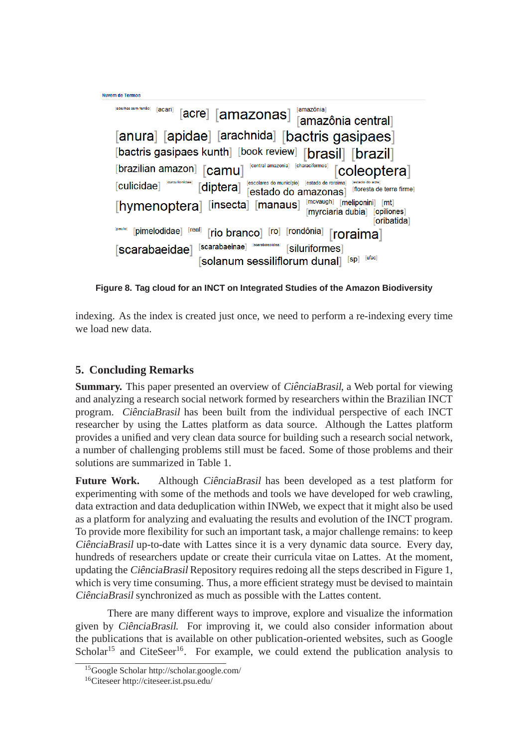```
Nuvem de Termos
   [abelhas sem ferrão] [acari]
                  [acre] [amazonas]
                                               [amazônia central]
   [anura] [apidae] [arachnida] [bactris gasipaes]
   [bactris gasipaes kunth] [book review] [brasil] [brazil]
   [brazilian amazon] [camu]
                                    central amazonial
                                                         coleoptera]
                                   Fescolares do município Festado de roraima
   [culicidae]
                       [diptera]
                                                            [floresta de terra firme]
                                  [estado do amazonas]
                                                 [mcvaugh] [meliponini] [mt]
   [hymenoptera] [insecta] [manaus]
                                                 [myrciaria dubia] [opiliones]
                                                                  [oribatida]
   [paulo] [pimelodidae] [real]
                         [rio branco] [ro] [rondônia]
                                                       [roraima]
   [scarabaeidae] [scarabaeinae] [sarabaeoidea] [siluriformes]
                       [solanum sessiliflorum dunal] [sp] [ufac]
```
**Figure 8. Tag cloud for an INCT on Integrated Studies of the Amazon Biodiversity**

indexing. As the index is created just once, we need to perform a re-indexing every time we load new data.

## **5. Concluding Remarks**

**Summary.** This paper presented an overview of *CiênciaBrasil*, a Web portal for viewing and analyzing a research social network formed by researchers within the Brazilian INCT program. CiênciaBrasil has been built from the individual perspective of each INCT researcher by using the Lattes platform as data source. Although the Lattes platform provides a unified and very clean data source for building such a research social network, a number of challenging problems still must be faced. Some of those problems and their solutions are summarized in Table 1.

Future Work. Although CiênciaBrasil has been developed as a test platform for experimenting with some of the methods and tools we have developed for web crawling, data extraction and data deduplication within INWeb, we expect that it might also be used as a platform for analyzing and evaluating the results and evolution of the INCT program. To provide more flexibility for such an important task, a major challenge remains: to keep CiênciaBrasil up-to-date with Lattes since it is a very dynamic data source. Every day, hundreds of researchers update or create their curricula vitae on Lattes. At the moment, updating the *CiênciaBrasil* Repository requires redoing all the steps described in Figure 1, which is very time consuming. Thus, a more efficient strategy must be devised to maintain CiênciaBrasil synchronized as much as possible with the Lattes content.

There are many different ways to improve, explore and visualize the information given by CiênciaBrasil. For improving it, we could also consider information about the publications that is available on other publication-oriented websites, such as Google Scholar<sup>15</sup> and CiteSeer<sup>16</sup>. For example, we could extend the publication analysis to

<sup>15</sup>Google Scholar http://scholar.google.com/

<sup>16</sup>Citeseer http://citeseer.ist.psu.edu/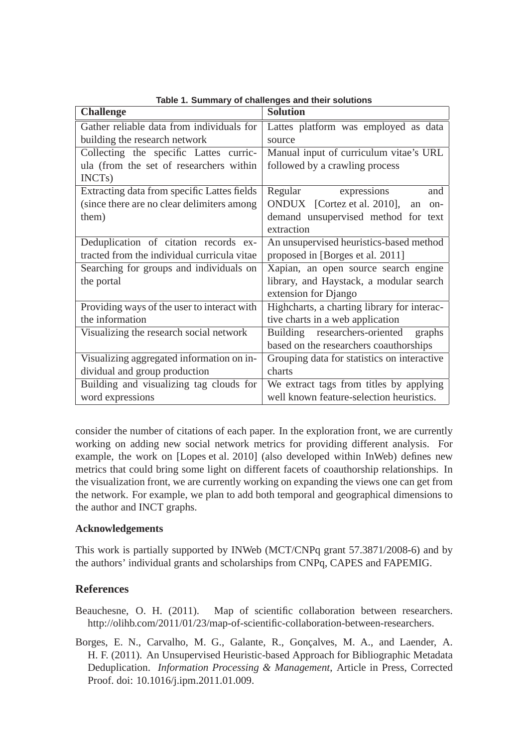| <b>Challenge</b>                            | <b>Solution</b>                             |
|---------------------------------------------|---------------------------------------------|
| Gather reliable data from individuals for   | Lattes platform was employed as data        |
| building the research network               | source                                      |
| Collecting the specific Lattes curric-      | Manual input of curriculum vitae's URL      |
| ula (from the set of researchers within     | followed by a crawling process              |
| INCT <sub>s</sub> )                         |                                             |
| Extracting data from specific Lattes fields | Regular expressions<br>and                  |
| (since there are no clear delimiters among  | ONDUX [Cortez et al. 2010],<br>an<br>on-    |
| them)                                       | demand unsupervised method for text         |
|                                             | extraction                                  |
| Deduplication of citation records ex-       | An unsupervised heuristics-based method     |
| tracted from the individual curricula vitae | proposed in [Borges et al. 2011]            |
| Searching for groups and individuals on     | Xapian, an open source search engine        |
| the portal                                  | library, and Haystack, a modular search     |
|                                             | extension for Django                        |
| Providing ways of the user to interact with | Highcharts, a charting library for interac- |
| the information                             | tive charts in a web application            |
| Visualizing the research social network     | Building researchers-oriented<br>graphs     |
|                                             | based on the researchers coauthorships      |
| Visualizing aggregated information on in-   | Grouping data for statistics on interactive |
| dividual and group production               | charts                                      |
| Building and visualizing tag clouds for     | We extract tags from titles by applying     |
| word expressions                            | well known feature-selection heuristics.    |

**Table 1. Summary of challenges and their solutions**

consider the number of citations of each paper. In the exploration front, we are currently working on adding new social network metrics for providing different analysis. For example, the work on [Lopes et al. 2010] (also developed within InWeb) defines new metrics that could bring some light on different facets of coauthorship relationships. In the visualization front, we are currently working on expanding the views one can get from the network. For example, we plan to add both temporal and geographical dimensions to the author and INCT graphs.

#### **Acknowledgements**

This work is partially supported by INWeb (MCT/CNPq grant 57.3871/2008-6) and by the authors' individual grants and scholarships from CNPq, CAPES and FAPEMIG.

## **References**

- Beauchesne, O. H. (2011). Map of scientific collaboration between researchers. http://olihb.com/2011/01/23/map-of-scientific-collaboration-between-researchers.
- Borges, E. N., Carvalho, M. G., Galante, R., Gonçalves, M. A., and Laender, A. H. F. (2011). An Unsupervised Heuristic-based Approach for Bibliographic Metadata Deduplication. *Information Processing & Management*, Article in Press, Corrected Proof. doi: 10.1016/j.ipm.2011.01.009.